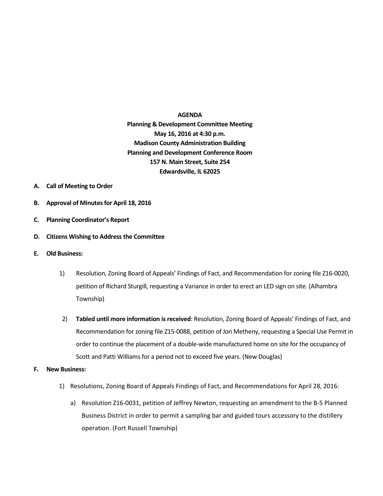## **AGENDA Planning & Development Committee Meeting May 16, 2016 at 4:30 p.m. Madison County Administration Building Planning and Development Conference Room 157 N. Main Street, Suite 254 Edwardsville, IL 62025**

- **A. Call of Meeting to Order**
- **B. Approval of Minutes for April 18, 2016**
- **C. Planning Coordinator's Report**
- **D. Citizens Wishing to Address the Committee**
- **E. Old Business:**
	- 1) Resolution, Zoning Board of Appeals' Findings of Fact, and Recommendation for zoning file Z16-0020, petition of Richard Sturgill, requesting a Variance in order to erect an LED sign on site. (Alhambra Township)
	- 2) **Tabled until more information is received**: Resolution, Zoning Board of Appeals' Findings of Fact, and Recommendation for zoning file Z15-0088, petition of Jon Metheny, requesting a Special Use Permit in order to continue the placement of a double-wide manufactured home on site for the occupancy of Scott and Patti Williams for a period not to exceed five years. (New Douglas)
- **F. New Business:**
	- 1) Resolutions, Zoning Board of Appeals Findings of Fact, and Recommendations for April 28, 2016:
		- a) Resolution Z16-0031, petition of Jeffrey Newton, requesting an amendment to the B-5 Planned Business District in order to permit a sampling bar and guided tours accessory to the distillery operation. (Fort Russell Township)